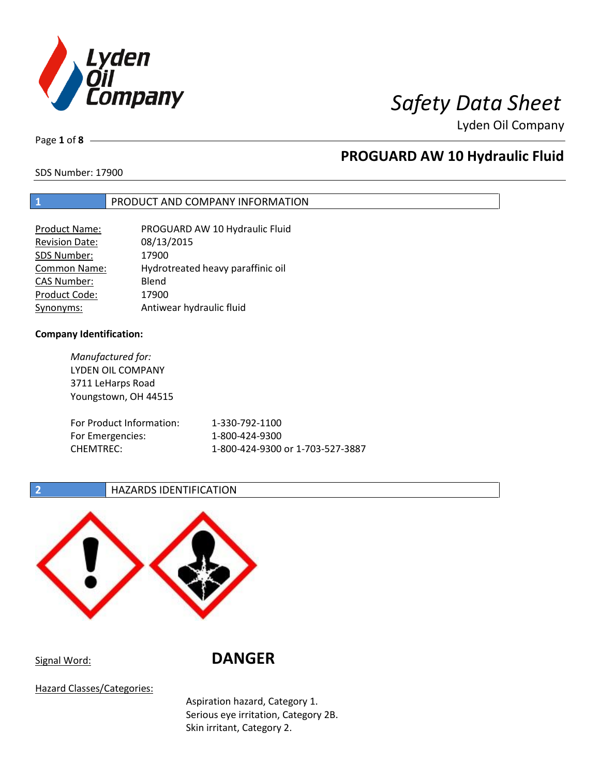

Page **1** of **8**

# **PROGUARD AW 10 Hydraulic Fluid**

SDS Number: 17900

## **1** PRODUCT AND COMPANY INFORMATION

| <b>Product Name:</b>  | PROGUARD AW 10 Hydraulic Fluid    |
|-----------------------|-----------------------------------|
| <b>Revision Date:</b> | 08/13/2015                        |
| SDS Number:           | 17900                             |
| <b>Common Name:</b>   | Hydrotreated heavy paraffinic oil |
| <b>CAS Number:</b>    | Blend                             |
| Product Code:         | 17900                             |
| Synonyms:             | Antiwear hydraulic fluid          |

## **Company Identification:**

*Manufactured for:* LYDEN OIL COMPANY 3711 LeHarps Road Youngstown, OH 44515 For Product Information: 1-330-792-1100 For Emergencies: 1-800-424-9300 CHEMTREC: 1-800-424-9300 or 1-703-527-3887

**2 HAZARDS IDENTIFICATION** 



Signal Word: **DANGER**

Hazard Classes/Categories:

Aspiration hazard, Category 1. Serious eye irritation, Category 2B. Skin irritant, Category 2.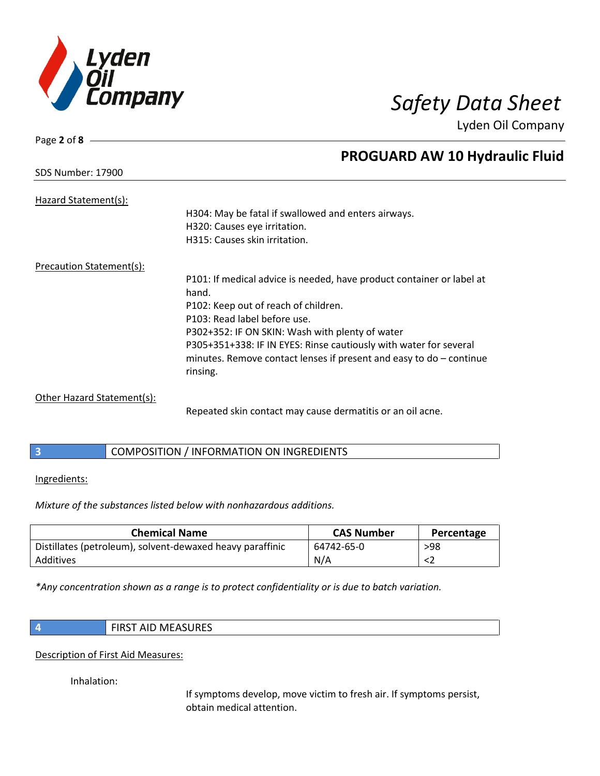

| SDS Number: 17900 |  |
|-------------------|--|
|                   |  |

Page **2** of **8**

# **PROGUARD AW 10 Hydraulic Fluid**

| Hazard Statement(s):       | H304: May be fatal if swallowed and enters airways.<br>H320: Causes eye irritation.<br>H315: Causes skin irritation.                                                                                                                                                                                                                                                |
|----------------------------|---------------------------------------------------------------------------------------------------------------------------------------------------------------------------------------------------------------------------------------------------------------------------------------------------------------------------------------------------------------------|
| Precaution Statement(s):   |                                                                                                                                                                                                                                                                                                                                                                     |
|                            | P101: If medical advice is needed, have product container or label at<br>hand.<br>P102: Keep out of reach of children.<br>P103: Read label before use.<br>P302+352: IF ON SKIN: Wash with plenty of water<br>P305+351+338: IF IN EYES: Rinse cautiously with water for several<br>minutes. Remove contact lenses if present and easy to $do$ - continue<br>rinsing. |
| Other Hazard Statement(s): | Repeated skin contact may cause dermatitis or an oil acne.                                                                                                                                                                                                                                                                                                          |

## **3** COMPOSITION / INFORMATION ON INGREDIENTS

## Ingredients:

*Mixture of the substances listed below with nonhazardous additions.*

| <b>Chemical Name</b>                                      | <b>CAS Number</b> | Percentage |
|-----------------------------------------------------------|-------------------|------------|
| Distillates (petroleum), solvent-dewaxed heavy paraffinic | 64742-65-0        | >98        |
| Additives                                                 | N/A               |            |

*\*Any concentration shown as a range is to protect confidentiality or is due to batch variation.*

| <b>FIRST AID MEASURES</b> |
|---------------------------|
|                           |

## Description of First Aid Measures:

Inhalation:

If symptoms develop, move victim to fresh air. If symptoms persist, obtain medical attention.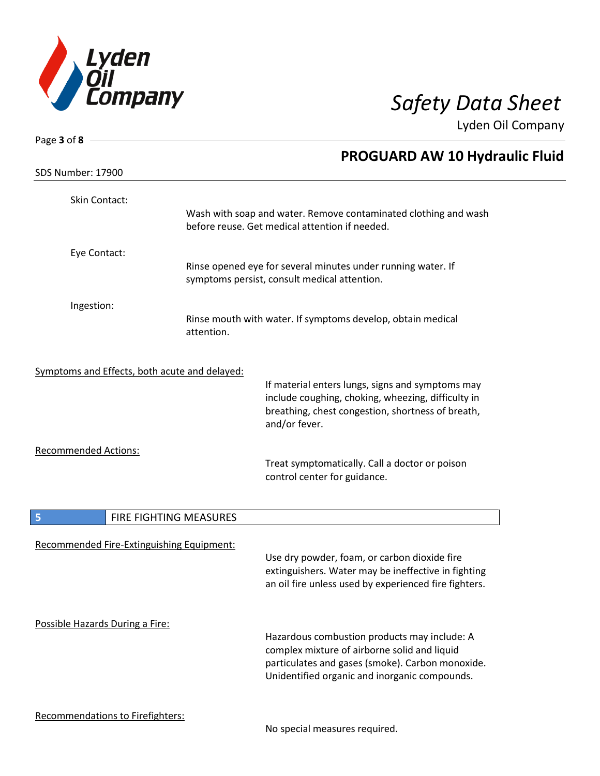

| Page 3 of 8 $-$                               |                        |                                                                                                                                                                                                   |
|-----------------------------------------------|------------------------|---------------------------------------------------------------------------------------------------------------------------------------------------------------------------------------------------|
|                                               |                        | <b>PROGUARD AW 10 Hydraulic Fluid</b>                                                                                                                                                             |
| SDS Number: 17900                             |                        |                                                                                                                                                                                                   |
| Skin Contact:                                 |                        | Wash with soap and water. Remove contaminated clothing and wash<br>before reuse. Get medical attention if needed.                                                                                 |
| Eye Contact:                                  |                        |                                                                                                                                                                                                   |
|                                               |                        | Rinse opened eye for several minutes under running water. If<br>symptoms persist, consult medical attention.                                                                                      |
| Ingestion:                                    |                        |                                                                                                                                                                                                   |
|                                               | attention.             | Rinse mouth with water. If symptoms develop, obtain medical                                                                                                                                       |
| Symptoms and Effects, both acute and delayed: |                        |                                                                                                                                                                                                   |
|                                               |                        | If material enters lungs, signs and symptoms may<br>include coughing, choking, wheezing, difficulty in<br>breathing, chest congestion, shortness of breath,<br>and/or fever.                      |
| <b>Recommended Actions:</b>                   |                        | Treat symptomatically. Call a doctor or poison<br>control center for guidance.                                                                                                                    |
| 5                                             | FIRE FIGHTING MEASURES |                                                                                                                                                                                                   |
| Recommended Fire-Extinguishing Equipment:     |                        | Use dry powder, foam, or carbon dioxide fire<br>extinguishers. Water may be ineffective in fighting<br>an oil fire unless used by experienced fire fighters.                                      |
| Possible Hazards During a Fire:               |                        | Hazardous combustion products may include: A<br>complex mixture of airborne solid and liquid<br>particulates and gases (smoke). Carbon monoxide.<br>Unidentified organic and inorganic compounds. |
| Recommendations to Firefighters:              |                        | No special measures required.                                                                                                                                                                     |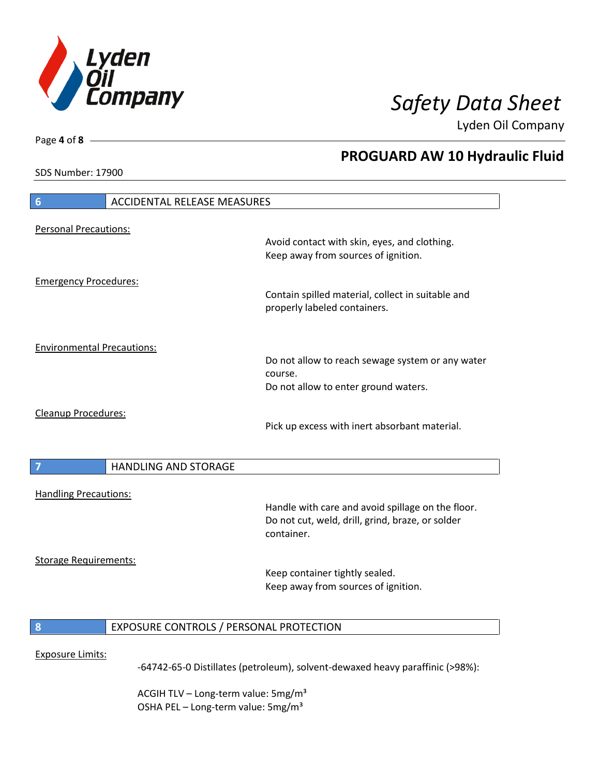

**PROGUARD AW 10 Hydraulic Fluid**

Lyden Oil Company

SDS Number: 17900

Page **4** of **8**

# **6** ACCIDENTAL RELEASE MEASURES Personal Precautions: Avoid contact with skin, eyes, and clothing. Keep away from sources of ignition. Emergency Procedures: Contain spilled material, collect in suitable and properly labeled containers. Environmental Precautions: Do not allow to reach sewage system or any water course. Do not allow to enter ground waters. Cleanup Procedures: Pick up excess with inert absorbant material. **7 HANDLING AND STORAGE** Handling Precautions: Handle with care and avoid spillage on the floor. Do not cut, weld, drill, grind, braze, or solder container. Storage Requirements: Keep container tightly sealed. Keep away from sources of ignition. **8** EXPOSURE CONTROLS / PERSONAL PROTECTION Exposure Limits: -64742-65-0 Distillates (petroleum), solvent-dewaxed heavy paraffinic (>98%):

ACGIH TLV – Long-term value:  $5\,\text{mg/m}^3$ OSHA PEL - Long-term value: 5mg/m<sup>3</sup>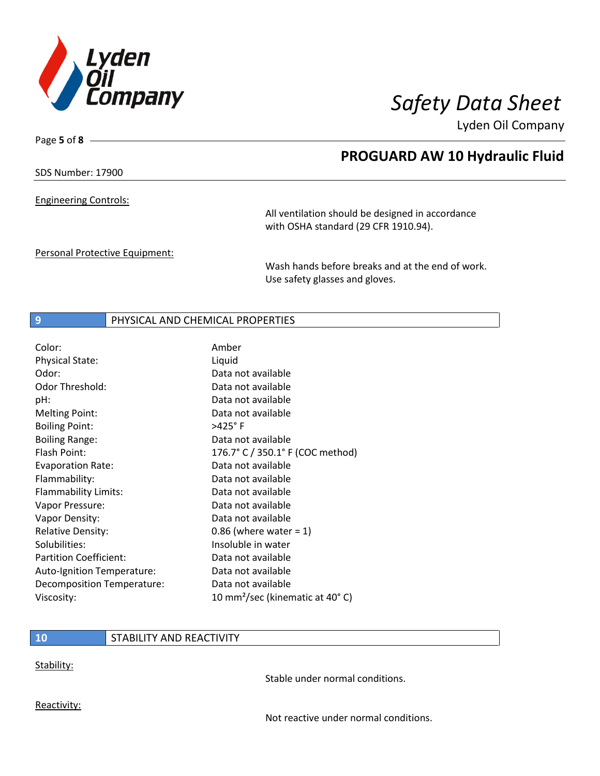

Page **5** of **8**

## **PROGUARD AW 10 Hydraulic Fluid**

SDS Number: 17900

Engineering Controls:

All ventilation should be designed in accordance with OSHA standard (29 CFR 1910.94).

Personal Protective Equipment:

Wash hands before breaks and at the end of work. Use safety glasses and gloves.

## **9** PHYSICAL AND CHEMICAL PROPERTIES

| Color:                        | Amber                                        |
|-------------------------------|----------------------------------------------|
| <b>Physical State:</b>        | Liquid                                       |
| Odor:                         | Data not available                           |
| Odor Threshold:               | Data not available                           |
| pH:                           | Data not available                           |
| <b>Melting Point:</b>         | Data not available                           |
| <b>Boiling Point:</b>         | >425°F                                       |
| <b>Boiling Range:</b>         | Data not available                           |
| Flash Point:                  | 176.7° C / 350.1° F (COC method)             |
| <b>Evaporation Rate:</b>      | Data not available                           |
| Flammability:                 | Data not available                           |
| Flammability Limits:          | Data not available                           |
| Vapor Pressure:               | Data not available                           |
| Vapor Density:                | Data not available                           |
| <b>Relative Density:</b>      | $0.86$ (where water = 1)                     |
| Solubilities:                 | Insoluble in water                           |
| <b>Partition Coefficient:</b> | Data not available                           |
| Auto-Ignition Temperature:    | Data not available                           |
| Decomposition Temperature:    | Data not available                           |
| Viscosity:                    | 10 mm <sup>2</sup> /sec (kinematic at 40° C) |

## **10** STABILITY AND REACTIVITY

Stability:

Stable under normal conditions.

Reactivity:

Not reactive under normal conditions.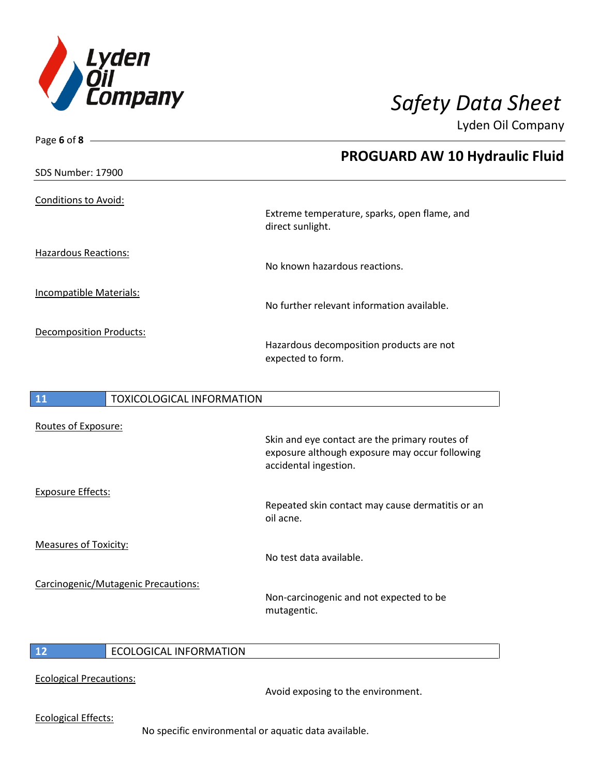

| Page 6 of 8 $-$                |                                  |                                                                         |
|--------------------------------|----------------------------------|-------------------------------------------------------------------------|
|                                |                                  | <b>PROGUARD AW 10 Hydraulic Fluid</b>                                   |
| <b>SDS Number: 17900</b>       |                                  |                                                                         |
| <b>Conditions to Avoid:</b>    |                                  |                                                                         |
|                                |                                  | Extreme temperature, sparks, open flame, and<br>direct sunlight.        |
| <b>Hazardous Reactions:</b>    |                                  | No known hazardous reactions.                                           |
| Incompatible Materials:        |                                  | No further relevant information available.                              |
| <b>Decomposition Products:</b> |                                  | Hazardous decomposition products are not<br>expected to form.           |
|                                |                                  |                                                                         |
| 11                             | <b>TOXICOLOGICAL INFORMATION</b> |                                                                         |
| Routes of Exposure:            |                                  |                                                                         |
|                                |                                  | Skin and eye contact are the primary routes of                          |
|                                |                                  | exposure although exposure may occur following<br>accidental ingestion. |
| <b>Exposure Effects:</b>       |                                  |                                                                         |
|                                |                                  | Repeated skin contact may cause dermatitis or an                        |

oil acne. Measures of Toxicity: No test data available. Carcinogenic/Mutagenic Precautions: Non-carcinogenic and not expected to be mutagentic.

## **12** ECOLOGICAL INFORMATION

Ecological Precautions:

Avoid exposing to the environment.

Ecological Effects:

 $\overline{\phantom{a}}$ 

No specific environmental or aquatic data available.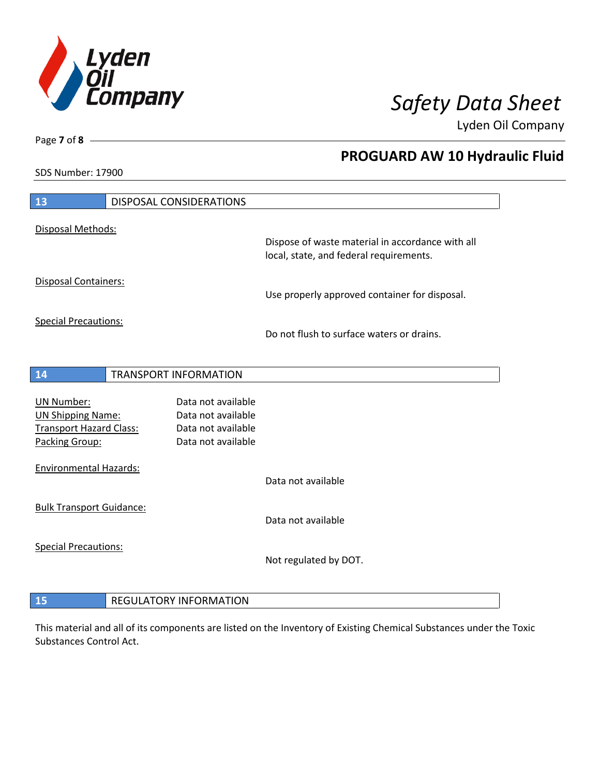

**PROGUARD AW 10 Hydraulic Fluid**

Lyden Oil Company

SDS Number: 17900

Page **7** of **8**

| 13                                                                                         | DISPOSAL CONSIDERATIONS                                                              |                                                  |
|--------------------------------------------------------------------------------------------|--------------------------------------------------------------------------------------|--------------------------------------------------|
| Disposal Methods:                                                                          |                                                                                      | Dispose of waste material in accordance with all |
|                                                                                            |                                                                                      | local, state, and federal requirements.          |
| <b>Disposal Containers:</b>                                                                |                                                                                      | Use properly approved container for disposal.    |
| <b>Special Precautions:</b>                                                                |                                                                                      | Do not flush to surface waters or drains.        |
|                                                                                            |                                                                                      |                                                  |
| 14                                                                                         | TRANSPORT INFORMATION                                                                |                                                  |
| UN Number:<br><b>UN Shipping Name:</b><br><b>Transport Hazard Class:</b><br>Packing Group: | Data not available<br>Data not available<br>Data not available<br>Data not available |                                                  |
| <b>Environmental Hazards:</b>                                                              |                                                                                      | Data not available                               |
| <b>Bulk Transport Guidance:</b>                                                            |                                                                                      | Data not available                               |
| <b>Special Precautions:</b>                                                                |                                                                                      | Not regulated by DOT.                            |
|                                                                                            |                                                                                      |                                                  |
| 15                                                                                         | <b>REGULATORY INFORMATION</b>                                                        |                                                  |

This material and all of its components are listed on the Inventory of Existing Chemical Substances under the Toxic Substances Control Act.